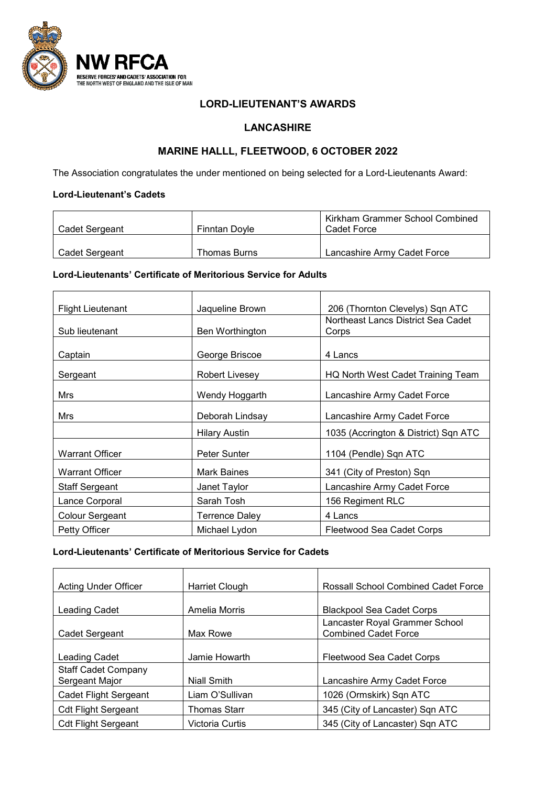

### **LORD-LIEUTENANT'S AWARDS**

## **LANCASHIRE**

# **MARINE HALLL, FLEETWOOD, 6 OCTOBER 2022**

The Association congratulates the under mentioned on being selected for a Lord-Lieutenants Award:

#### **Lord-Lieutenant's Cadets**

| Cadet Sergeant | <b>Finntan Dovle</b> | Kirkham Grammer School Combined<br>Cadet Force |
|----------------|----------------------|------------------------------------------------|
| Cadet Sergeant | Thomas Burns         | Lancashire Army Cadet Force                    |

#### **Lord-Lieutenants' Certificate of Meritorious Service for Adults**

| <b>Flight Lieutenant</b> | Jaqueline Brown       | 206 (Thornton Clevelys) Sqn ATC      |
|--------------------------|-----------------------|--------------------------------------|
|                          |                       | Northeast Lancs District Sea Cadet   |
| Sub lieutenant           | Ben Worthington       | Corps                                |
|                          |                       |                                      |
| Captain                  | George Briscoe        | 4 Lancs                              |
| Sergeant                 | Robert Livesey        | HQ North West Cadet Training Team    |
| Mrs                      | Wendy Hoggarth        | Lancashire Army Cadet Force          |
| Mrs                      | Deborah Lindsay       | Lancashire Army Cadet Force          |
|                          | Hilary Austin         | 1035 (Accrington & District) Sqn ATC |
| <b>Warrant Officer</b>   | Peter Sunter          | 1104 (Pendle) Sqn ATC                |
| <b>Warrant Officer</b>   | <b>Mark Baines</b>    | 341 (City of Preston) Sqn            |
| <b>Staff Sergeant</b>    | Janet Taylor          | Lancashire Army Cadet Force          |
| Lance Corporal           | Sarah Tosh            | 156 Regiment RLC                     |
| Colour Sergeant          | <b>Terrence Daley</b> | 4 Lancs                              |
| Petty Officer            | Michael Lydon         | Fleetwood Sea Cadet Corps            |

**Lord-Lieutenants' Certificate of Meritorious Service for Cadets**

| Acting Under Officer                         | Harriet Clough  | <b>Rossall School Combined Cadet Force</b>                    |
|----------------------------------------------|-----------------|---------------------------------------------------------------|
| <b>Leading Cadet</b>                         | Amelia Morris   | <b>Blackpool Sea Cadet Corps</b>                              |
| Cadet Sergeant                               | Max Rowe        | Lancaster Royal Grammer School<br><b>Combined Cadet Force</b> |
| Leading Cadet                                | Jamie Howarth   | Fleetwood Sea Cadet Corps                                     |
| <b>Staff Cadet Company</b><br>Sergeant Major | Niall Smith     | Lancashire Army Cadet Force                                   |
| Cadet Flight Sergeant                        | Liam O'Sullivan | 1026 (Ormskirk) Sqn ATC                                       |
| <b>Cdt Flight Sergeant</b>                   | Thomas Starr    | 345 (City of Lancaster) Sqn ATC                               |
| <b>Cdt Flight Sergeant</b>                   | Victoria Curtis | 345 (City of Lancaster) Sqn ATC                               |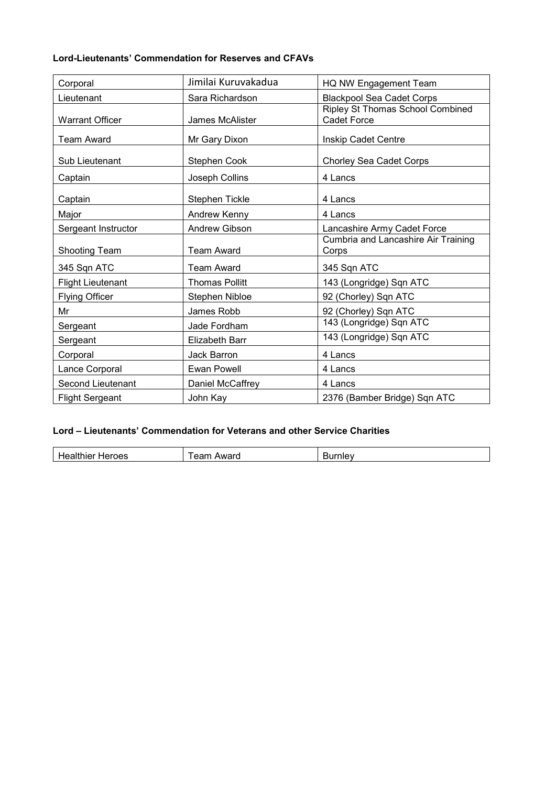## **Lord-Lieutenants' Commendation for Reserves and CFAVs**

| Corporal                 | Jimilai Kuruvakadua   | HQ NW Engagement Team                                  |
|--------------------------|-----------------------|--------------------------------------------------------|
| Lieutenant               | Sara Richardson       | <b>Blackpool Sea Cadet Corps</b>                       |
| <b>Warrant Officer</b>   | James McAlister       | Ripley St Thomas School Combined<br><b>Cadet Force</b> |
| <b>Team Award</b>        | Mr Gary Dixon         | Inskip Cadet Centre                                    |
| Sub Lieutenant           | Stephen Cook          | Chorley Sea Cadet Corps                                |
| Captain                  | Joseph Collins        | 4 Lancs                                                |
| Captain                  | Stephen Tickle        | 4 Lancs                                                |
| Major                    | Andrew Kenny          | 4 Lancs                                                |
| Sergeant Instructor      | <b>Andrew Gibson</b>  | Lancashire Army Cadet Force                            |
| <b>Shooting Team</b>     | <b>Team Award</b>     | Cumbria and Lancashire Air Training<br>Corps           |
| 345 Sqn ATC              | <b>Team Award</b>     | 345 Sqn ATC                                            |
| <b>Flight Lieutenant</b> | <b>Thomas Pollitt</b> | 143 (Longridge) Sqn ATC                                |
| <b>Flying Officer</b>    | Stephen Nibloe        | 92 (Chorley) Sqn ATC                                   |
| Mr                       | James Robb            | 92 (Chorley) Sqn ATC                                   |
| Sergeant                 | Jade Fordham          | 143 (Longridge) Sqn ATC                                |
| Sergeant                 | <b>Elizabeth Barr</b> | 143 (Longridge) Sqn ATC                                |
| Corporal                 | Jack Barron           | 4 Lancs                                                |
| Lance Corporal           | <b>Ewan Powell</b>    | 4 Lancs                                                |
| <b>Second Lieutenant</b> | Daniel McCaffrey      | 4 Lancs                                                |
| <b>Flight Sergeant</b>   | John Kay              | 2376 (Bamber Bridge) Sqn ATC                           |

### **Lord – Lieutenants' Commendation for Veterans and other Service Charities**

| .<br>-<br>⊷<br> | --<br>$\cdots$<br>$M^2$ | ----- |
|-----------------|-------------------------|-------|
|-----------------|-------------------------|-------|